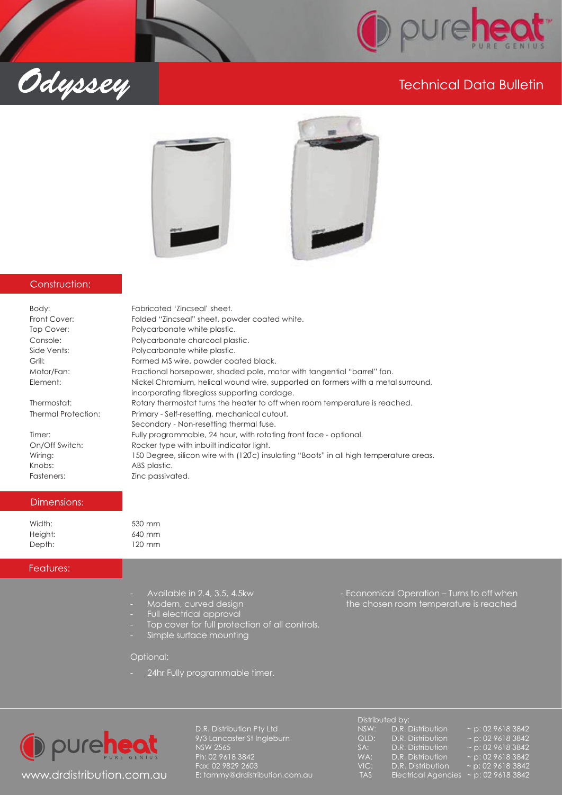

# **Technical Data Bulletin**



#### Construction:

Odyssey

| Body:               | Fabricated 'Zincseal' sheet.                                                                                                     |
|---------------------|----------------------------------------------------------------------------------------------------------------------------------|
| Front Cover:        | Folded "Zincseal" sheet, powder coated white.                                                                                    |
| Top Cover:          | Polycarbonate white plastic.                                                                                                     |
| Console:            | Polycarbonate charcoal plastic.                                                                                                  |
| Side Vents:         | Polycarbonate white plastic.                                                                                                     |
| Grill:              | Formed MS wire, powder coated black.                                                                                             |
| Motor/Fan:          | Fractional horsepower, shaded pole, motor with tangential "barrel" fan.                                                          |
| Element:            | Nickel Chromium, helical wound wire, supported on formers with a metal surround,<br>incorporating fibreglass supporting cordage. |
| Thermostat:         | Rotary thermostat turns the heater to off when room temperature is reached.                                                      |
| Thermal Protection: | Primary - Self-resetting, mechanical cutout.<br>Secondary - Non-resetting thermal fuse.                                          |
| Timer:              | Fully programmable, 24 hour, with rotating front face - optional.                                                                |
| On/Off Switch:      | Rocker type with inbuilt indicator light.                                                                                        |
| Wiring:             | 150 Degree, silicon wire with (120°c) insulating "Boots" in all high temperature areas.                                          |
| Knobs:              | ABS plastic.                                                                                                                     |
| Fasteners:          | Zinc passivated.                                                                                                                 |

#### Dimensions:

| Width:  |  |
|---------|--|
| Height: |  |
| Depth:  |  |

#### Features:

- 
- 
- Full electrical approval
- Top cover for full protection of all controls.
- Simple surface mounting

#### Optional:

530 mm 640 mm 120 mm

24hr Fully programmable timer.



- Available in 2.4, 3.5, 4.5kw - Feonomical Operation – Turns to off when -- Modern, curved design the chosen room temperature is reached

|                                | Distributed by: |                                            |                        |  |
|--------------------------------|-----------------|--------------------------------------------|------------------------|--|
| D.R. Distribution Pty Ltd      | NSW:            | D.R. Distribution                          | $\sim$ p: 02 9618 3842 |  |
| 9/3 Lancaster St Ingleburn     | QLD:            | D.R. Distribution                          | $\sim$ p: 02 9618 3842 |  |
| NSW 2565                       | SA:             | D.R. Distribution                          | $\sim$ p: 02 9618 3842 |  |
| Ph: 02 9618 3842               | WA:             | D.R. Distribution                          | $\sim$ p: 02 9618 3842 |  |
| Fax: 02 9829 2603              | VIC:            | D.R. Distribution                          | $\sim$ p: 02 9618 3842 |  |
| E: tammy@drdistribution.com.au | TAS             | Electrical Agencies $\sim$ p: 02 9618 3842 |                        |  |